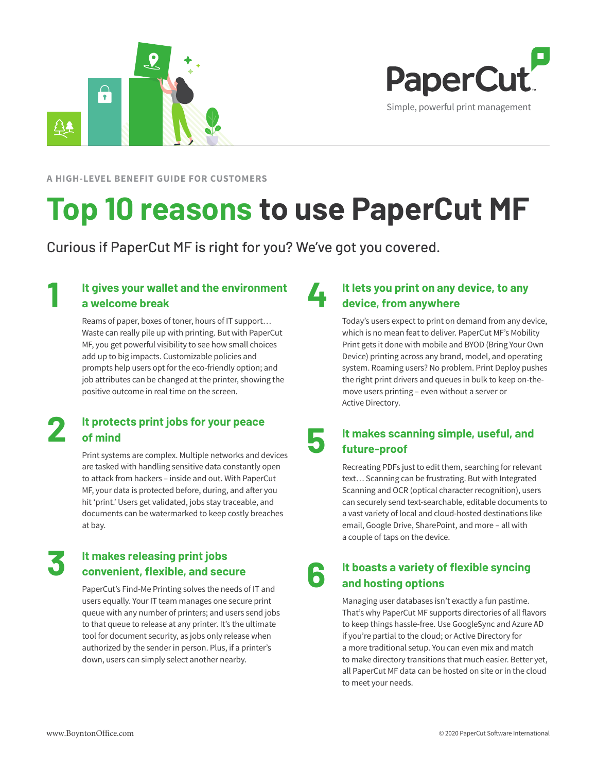



**A HIGH-LEVEL BENEFIT GUIDE FOR CUSTOMERS**

# **Top 10 reasons to use PaperCut MF**

Curious if PaperCut MF is right for you? We've got you covered.

### **1 It gives your wallet and the environment a welcome break**

Reams of paper, boxes of toner, hours of IT support… Waste can really pile up with printing. But with PaperCut MF, you get powerful visibility to see how small choices add up to big impacts. Customizable policies and prompts help users opt for the eco-friendly option; and job attributes can be changed at the printer, showing the positive outcome in real time on the screen.

#### **2 It protects print jobs for your peace of mind**

Print systems are complex. Multiple networks and devices are tasked with handling sensitive data constantly open to attack from hackers – inside and out. With PaperCut MF, your data is protected before, during, and after you hit 'print.' Users get validated, jobs stay traceable, and documents can be watermarked to keep costly breaches at bay.

# **3 It makes releasing print jobs convenient, flexible, and secure**

PaperCut's Find-Me Printing solves the needs of IT and users equally. Your IT team manages one secure print queue with any number of printers; and users send jobs to that queue to release at any printer. It's the ultimate tool for document security, as jobs only release when authorized by the sender in person. Plus, if a printer's down, users can simply select another nearby.

## **4 It lets you print on any device, to any device, from anywhere**

Today's users expect to print on demand from any device, which is no mean feat to deliver. PaperCut MF's Mobility Print gets it done with mobile and BYOD (Bring Your Own Device) printing across any brand, model, and operating system. Roaming users? No problem. Print Deploy pushes the right print drivers and queues in bulk to keep on-themove users printing – even without a server or Active Directory.

#### **5 It makes scanning simple, useful, and future-proof**

Recreating PDFs just to edit them, searching for relevant text… Scanning can be frustrating. But with Integrated Scanning and OCR (optical character recognition), users can securely send text-searchable, editable documents to a vast variety of local and cloud-hosted destinations like email, Google Drive, SharePoint, and more – all with a couple of taps on the device.

## **6 It boasts a variety of flexible syncing and hosting options**

Managing user databases isn't exactly a fun pastime. That's why PaperCut MF supports directories of all flavors to keep things hassle-free. Use GoogleSync and Azure AD if you're partial to the cloud; or Active Directory for a more traditional setup. You can even mix and match to make directory transitions that much easier. Better yet, all PaperCut MF data can be hosted on site or in the cloud to meet your needs.